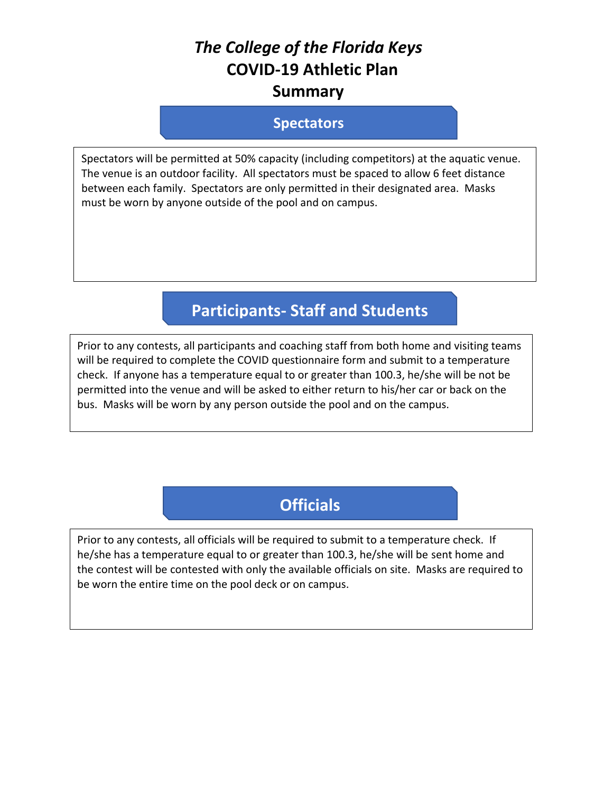# *The College of the Florida Keys* **COVID-19 Athletic Plan Summary**

#### **Spectators**

Spectators will be permitted at 50% capacity (including competitors) at the aquatic venue. The venue is an outdoor facility. All spectators must be spaced to allow 6 feet distance between each family. Spectators are only permitted in their designated area. Masks must be worn by anyone outside of the pool and on campus.

# **Participants- Staff and Students**

Prior to any contests, all participants and coaching staff from both home and visiting teams will be required to complete the COVID questionnaire form and submit to a temperature check. If anyone has a temperature equal to or greater than 100.3, he/she will be not be permitted into the venue and will be asked to either return to his/her car or back on the bus. Masks will be worn by any person outside the pool and on the campus.

# **Officials**

Prior to any contests, all officials will be required to submit to a temperature check. If he/she has a temperature equal to or greater than 100.3, he/she will be sent home and the contest will be contested with only the available officials on site. Masks are required to be worn the entire time on the pool deck or on campus.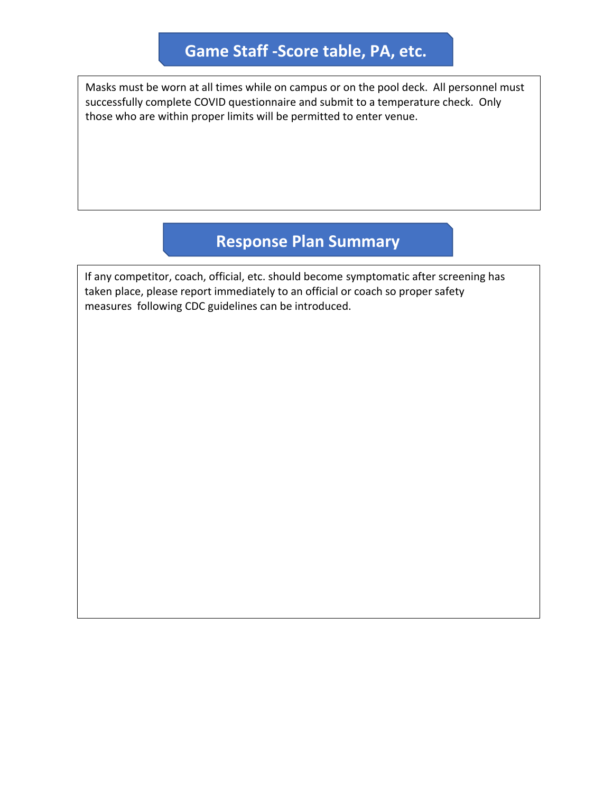### **Game Staff -Score table, PA, etc.**

Masks must be worn at all times while on campus or on the pool deck. All personnel must successfully complete COVID questionnaire and submit to a temperature check. Only those who are within proper limits will be permitted to enter venue.

### **Response Plan Summary**

If any competitor, coach, official, etc. should become symptomatic after screening has taken place, please report immediately to an official or coach so proper safety measures following CDC guidelines can be introduced.